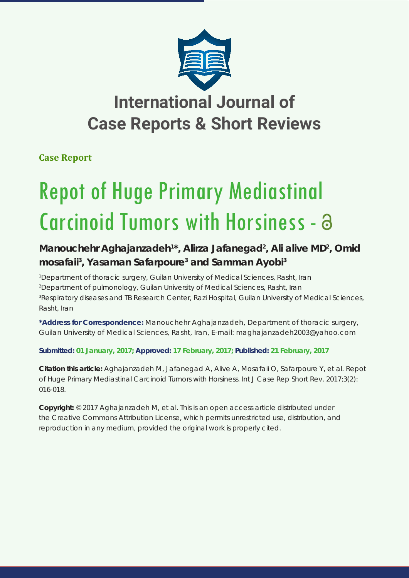

## **International Journal of Case Reports & Short Reviews**

**Case Report**

# Repot of Huge Primary Mediastinal Carcinoid Tumors with Horsiness -

### Manouchehr Aghajanzadeh<sup>1\*</sup>, Alirza Jafanegad<sup>2</sup>, Ali alive MD<sup>2</sup>, Omid **mosafaii3 , Yasaman Safarpoure3 and Samman Ayobi3**

 *Department of thoracic surgery, Guilan University of Medical Sciences, Rasht, Iran Department of pulmonology, Guilan University of Medical Sciences, Rasht, Iran Respiratory diseases and TB Research Center, Razi Hospital, Guilan University of Medical Sciences, Rasht, Iran*

**\*Address for Correspondence:** Manouchehr Aghajanzadeh, Department of thoracic surgery, Guilan University of Medical Sciences, Rasht, Iran, E-mail: maghajanzadeh2003@yahoo.com

**Submitted: 01 January, 2017; Approved: 17 February, 2017; Published: 21 February, 2017**

**Citation this article:** Aghajanzadeh M, Jafanegad A, Alive A, Mosafaii O, Safarpoure Y, et al. Repot of Huge Primary Mediastinal Carcinoid Tumors with Horsiness. Int J Case Rep Short Rev. 2017;3(2): 016-018.

**Copyright:** © 2017 Aghajanzadeh M, et al. This is an open access article distributed under the Creative Commons Attribution License, which permits unrestricted use, distribution, and reproduction in any medium, provided the original work is properly cited.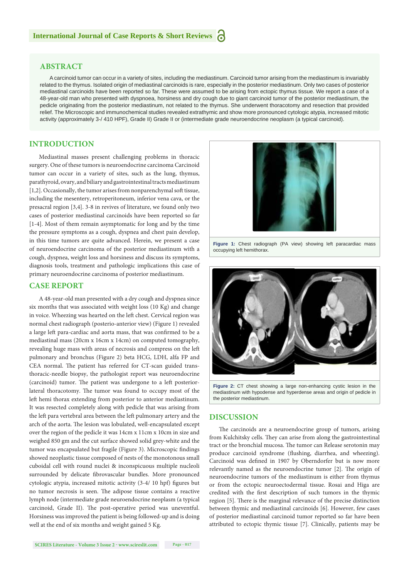#### **ABSTRACT**

A carcinoid tumor can occur in a variety of sites, including the mediastinum. Carcinoid tumor arising from the mediastinum is invariably related to the thymus. Isolated origin of mediastinal carcinoids is rare, especially in the posterior mediastinum. Only two cases of posterior mediastinal carcinoids have been reported so far. These were assumed to be arising from ectopic thymus tissue. We report a case of a 48-year-old man who presented with dyspnoea, horsiness and dry cough due to giant carcinoid tumor of the posterior mediastinum, the pedicle originating from the posterior mediastinum, not related to the thymus. She underwent thoracotomy and resection that provided relief. The Microscopic and immunochemical studies revealed extrathymic and show more pronounced cytologic atypia, increased mitotic activity (approximately 3-/ 410 HPF), Grade II) Grade II or (intermediate grade neuroendocrine neoplasm (a typical carcinoid).

#### **INTRODUCTION**

Mediastinal masses present challenging problems in thoracic surgery. One of these tumors is neuroendocrine carcinoma Carcinoid tumor can occur in a variety of sites, such as the lung, thymus, parathyroid, ovary, and biliary and gastrointestinal tracts mediastinum [1,2]. Occasionally, the tumor arises from nonparenchymal soft tissue, including the mesentery, retroperitoneum, inferior vena cava, or the presacral region [3,4]. 3-8 in revives of literature, we found only two cases of posterior mediastinal carcinoids have been reported so far [1-4]. Most of them remain asymptomatic for long and by the time the pressure symptoms as a cough, dyspnea and chest pain develop, in this time tumors are quite advanced. Herein, we present a case of neuroendocrine carcinoma of the posterior mediastinum with a cough, dyspnea, weight loss and horsiness and discuss its symptoms, diagnosis tools, treatment and pathologic implications this case of primary neuroendocrine carcinoma of posterior mediastinum.

#### **CASE REPORT**

A 48-year-old man presented with a dry cough and dyspnea since six months that was associated with weight loss (10 Kg) and change in voice. Wheezing was hearted on the left chest. Cervical region was normal chest radiograph (posterio-anterior view) (Figure 1) revealed a large left para-cardiac and aorta mass, that was confirmed to be a mediastinal mass (20cm x 16cm x 14cm) on computed tomography, revealing huge mass with areas of necrosis and compress on the left pulmonary and bronchus (Figure 2) beta HCG, LDH, alfa FP and CEA normal. The patient has referred for CT-scan guided transthoracic-needle biopsy, the pathologist report was neuroendocrine (carcinoid) tumor. The patient was undergone to a left posteriorlateral thoracotomy. The tumor was found to occupy most of the left hemi thorax extending from posterior to anterior mediastinum. It was resected completely along with pedicle that was arising from the left para vertebral area between the left pulmonary artery and the arch of the aorta. The lesion was lobulated, well-encapsulated except over the region of the pedicle it was 14cm x 11cm x 10cm in size and weighed 850 gm and the cut surface showed solid grey-white and the tumor was encapsulated but fragile (Figure 3). Microscopic findings showed neoplastic tissue composed of nests of the monotonous small cuboidal cell with round nuclei & inconspicuous multiple nucleoli surrounded by delicate fibrovascular bundles. More pronounced cytologic atypia, increased mitotic activity (3-4/ 10 hpf) figures but no tumor necrosis is seen. The adipose tissue contains a reactive lymph node (intermediate grade neuroendocrine neoplasm (a typical carcinoid, Grade II). The post-operative period was uneventful. Horsiness was improved the patient is being followed-up and is doing well at the end of six months and weight gained 5 Kg.



**Figure 1:** Chest radiograph (PA view) showing left paracardiac mass occupying left hemithorax.



**Figure 2:** CT chest showing a large non-enhancing cystic lesion in the mediastinum with hypodense and hyperdense areas and origin of pedicle in the posterior mediastinum.

#### **DISCUSSION**

The carcinoids are a neuroendocrine group of tumors, arising from Kulchitsky cells. They can arise from along the gastrointestinal tract or the bronchial mucosa. The tumor can Release serotonin may produce carcinoid syndrome (flushing, diarrhea, and wheezing). Carcinoid was defined in 1907 by Oberndorfer but is now more relevantly named as the neuroendocrine tumor [2]. The origin of neuroendocrine tumors of the mediastinum is either from thymus or from the ectopic neuroectodermal tissue. Rosai and Higa are credited with the first description of such tumors in the thymic region [5]. There is the marginal relevance of the precise distinction between thymic and mediastinal carcinoids [6]. However, few cases of posterior mediastinal carcinoid tumor reported so far have been attributed to ectopic thymic tissue [7]. Clinically, patients may be